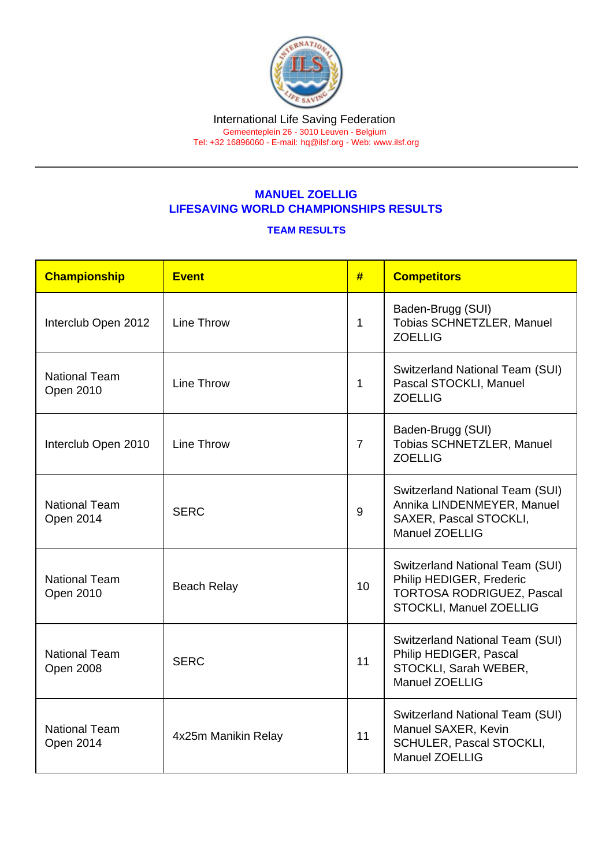## MANUEL ZOELLIG LIFESAVING WORLD CHAMPIONSHIPS RESULTS

## TEAM RESULTS

| Championship                             | Event               | #              | <b>Competitors</b>                                                                                                             |
|------------------------------------------|---------------------|----------------|--------------------------------------------------------------------------------------------------------------------------------|
| Interclub Open 2012                      | <b>Line Throw</b>   | $\mathbf{1}$   | Baden-Brugg (SUI)<br>Tobias SCHNETZLER, Manuel<br><b>ZOELLIG</b>                                                               |
| <b>National Team</b><br>Open 2010        | Line Throw          | $\overline{1}$ | <b>Switzerland National Team (SUI)</b><br>Pascal STOCKLI, Manuel<br><b>ZOELLIG</b>                                             |
| Interclub Open 2010                      | Line Throw          | $\overline{7}$ | Baden-Brugg (SUI)<br><b>Tobias SCHNETZLER, Manuel</b><br><b>ZOELLIG</b>                                                        |
| <b>National Team</b><br>Open 2014        | <b>SERC</b>         | 9              | <b>Switzerland National Team (SUI)</b><br>Annika LINDENMEYER, Manuel<br><b>SAXER, Pascal STOCKLI,</b><br><b>Manuel ZOELLIG</b> |
| <b>National Team</b><br>Open 2010        | <b>Beach Relay</b>  | 10             | Switzerland National Team (SUI)<br>Philip HEDIGER, Frederic<br><b>TORTOSA RODRIGUEZ, Pascal</b><br>STOCKLI, Manuel ZOELLIG     |
| <b>National Team</b><br><b>Open 2008</b> | <b>SERC</b>         | 11             | Switzerland National Team (SUI)<br>Philip HEDIGER, Pascal<br>STOCKLI, Sarah WEBER,<br><b>Manuel ZOELLIG</b>                    |
| <b>National Team</b><br>Open 2014        | 4x25m Manikin Relay | 11             | Switzerland National Team (SUI)<br>Manuel SAXER, Kevin<br><b>SCHULER, Pascal STOCKLI,</b><br><b>Manuel ZOELLIG</b>             |